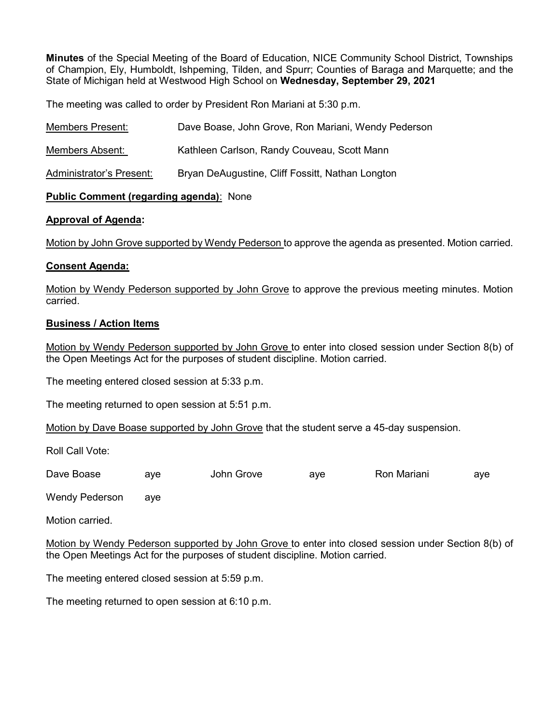Minutes of the Special Meeting of the Board of Education, NICE Community School District, Townships of Champion, Ely, Humboldt, Ishpeming, Tilden, and Spurr; Counties of Baraga and Marquette; and the State of Michigan held at Westwood High School on Wednesday, September 29, 2021

The meeting was called to order by President Ron Mariani at 5:30 p.m.

| Members Present:         | Dave Boase, John Grove, Ron Mariani, Wendy Pederson |
|--------------------------|-----------------------------------------------------|
| Members Absent:          | Kathleen Carlson, Randy Couveau, Scott Mann         |
| Administrator's Present: | Bryan DeAugustine, Cliff Fossitt, Nathan Longton    |

### Public Comment (regarding agenda): None

### Approval of Agenda:

Motion by John Grove supported by Wendy Pederson to approve the agenda as presented. Motion carried.

# Consent Agenda:

Motion by Wendy Pederson supported by John Grove to approve the previous meeting minutes. Motion carried.

# Business / Action Items

Motion by Wendy Pederson supported by John Grove to enter into closed session under Section 8(b) of the Open Meetings Act for the purposes of student discipline. Motion carried.

The meeting entered closed session at 5:33 p.m.

The meeting returned to open session at 5:51 p.m.

Motion by Dave Boase supported by John Grove that the student serve a 45-day suspension.

Roll Call Vote:

| Dave Boase | ave | John ′<br>Grove | ave | Ron<br>Mariani | ave |
|------------|-----|-----------------|-----|----------------|-----|
|            |     |                 |     |                |     |

Wendy Pederson aye

Motion carried.

Motion by Wendy Pederson supported by John Grove to enter into closed session under Section 8(b) of the Open Meetings Act for the purposes of student discipline. Motion carried.

The meeting entered closed session at 5:59 p.m.

The meeting returned to open session at 6:10 p.m.